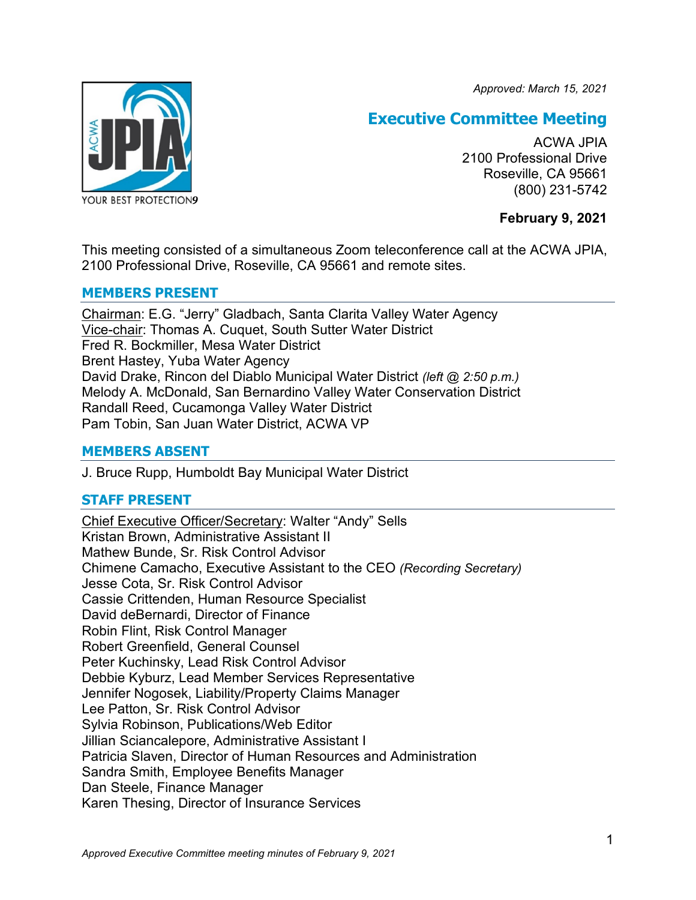*Approved: March 15, 2021*



# **Executive Committee Meeting**

ACWA JPIA 2100 Professional Drive Roseville, CA 95661 (800) 231-5742

# **February 9, 2021**

This meeting consisted of a simultaneous Zoom teleconference call at the ACWA JPIA, 2100 Professional Drive, Roseville, CA 95661 and remote sites.

# **MEMBERS PRESENT**

Chairman: E.G. "Jerry" Gladbach, Santa Clarita Valley Water Agency Vice-chair: Thomas A. Cuquet, South Sutter Water District Fred R. Bockmiller, Mesa Water District Brent Hastey, Yuba Water Agency David Drake, Rincon del Diablo Municipal Water District *(left @ 2:50 p.m.)* Melody A. McDonald, San Bernardino Valley Water Conservation District Randall Reed, Cucamonga Valley Water District Pam Tobin, San Juan Water District, ACWA VP

# **MEMBERS ABSENT**

J. Bruce Rupp, Humboldt Bay Municipal Water District

# **STAFF PRESENT**

Chief Executive Officer/Secretary: Walter "Andy" Sells Kristan Brown, Administrative Assistant II Mathew Bunde, Sr. Risk Control Advisor Chimene Camacho, Executive Assistant to the CEO *(Recording Secretary)* Jesse Cota, Sr. Risk Control Advisor Cassie Crittenden, Human Resource Specialist David deBernardi, Director of Finance Robin Flint, Risk Control Manager Robert Greenfield, General Counsel Peter Kuchinsky, Lead Risk Control Advisor Debbie Kyburz, Lead Member Services Representative Jennifer Nogosek, Liability/Property Claims Manager Lee Patton, Sr. Risk Control Advisor Sylvia Robinson, Publications/Web Editor Jillian Sciancalepore, Administrative Assistant I Patricia Slaven, Director of Human Resources and Administration Sandra Smith, Employee Benefits Manager Dan Steele, Finance Manager Karen Thesing, Director of Insurance Services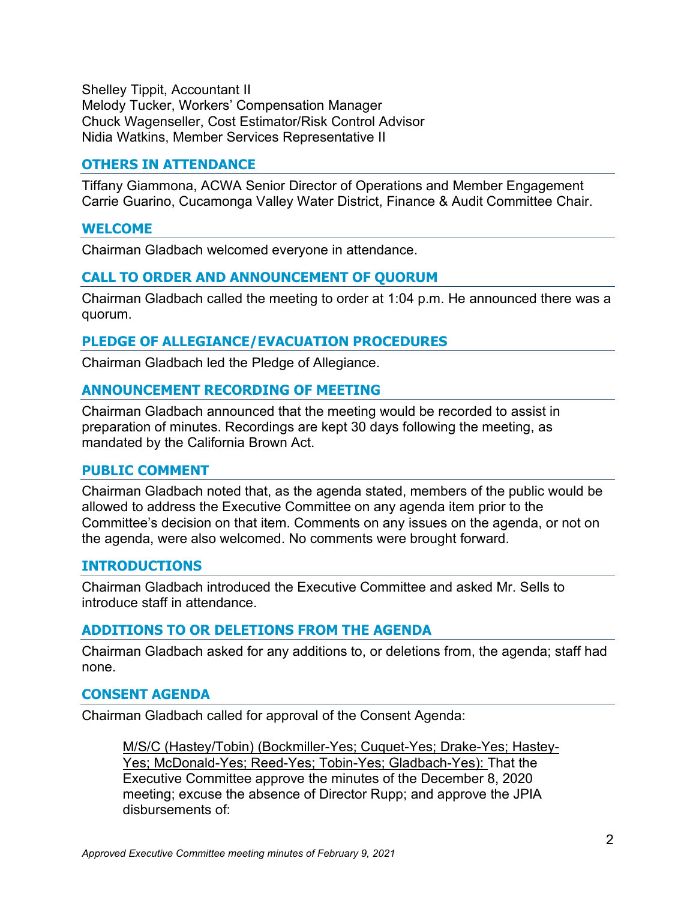Shelley Tippit, Accountant II Melody Tucker, Workers' Compensation Manager Chuck Wagenseller, Cost Estimator/Risk Control Advisor Nidia Watkins, Member Services Representative II

# **OTHERS IN ATTENDANCE**

Tiffany Giammona, ACWA Senior Director of Operations and Member Engagement Carrie Guarino, Cucamonga Valley Water District, Finance & Audit Committee Chair.

### **WELCOME**

Chairman Gladbach welcomed everyone in attendance.

# **CALL TO ORDER AND ANNOUNCEMENT OF QUORUM**

Chairman Gladbach called the meeting to order at 1:04 p.m. He announced there was a quorum.

### **PLEDGE OF ALLEGIANCE/EVACUATION PROCEDURES**

Chairman Gladbach led the Pledge of Allegiance.

### **ANNOUNCEMENT RECORDING OF MEETING**

Chairman Gladbach announced that the meeting would be recorded to assist in preparation of minutes. Recordings are kept 30 days following the meeting, as mandated by the California Brown Act.

### **PUBLIC COMMENT**

Chairman Gladbach noted that, as the agenda stated, members of the public would be allowed to address the Executive Committee on any agenda item prior to the Committee's decision on that item. Comments on any issues on the agenda, or not on the agenda, were also welcomed. No comments were brought forward.

### **INTRODUCTIONS**

Chairman Gladbach introduced the Executive Committee and asked Mr. Sells to introduce staff in attendance.

# **ADDITIONS TO OR DELETIONS FROM THE AGENDA**

Chairman Gladbach asked for any additions to, or deletions from, the agenda; staff had none.

### **CONSENT AGENDA**

Chairman Gladbach called for approval of the Consent Agenda:

M/S/C (Hastey/Tobin) (Bockmiller-Yes; Cuquet-Yes; Drake-Yes; Hastey-Yes; McDonald-Yes; Reed-Yes; Tobin-Yes; Gladbach-Yes): That the Executive Committee approve the minutes of the December 8, 2020 meeting; excuse the absence of Director Rupp; and approve the JPIA disbursements of: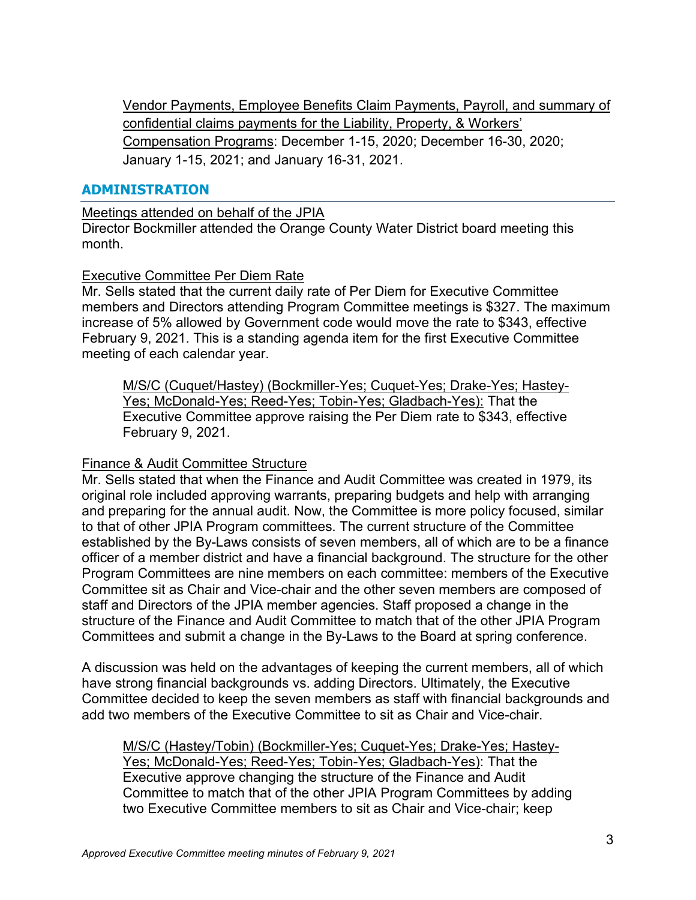Vendor Payments, Employee Benefits Claim Payments, Payroll, and summary of confidential claims payments for the Liability, Property, & Workers' Compensation Programs: December 1-15, 2020; December 16-30, 2020; January 1-15, 2021; and January 16-31, 2021.

# **ADMINISTRATION**

Meetings attended on behalf of the JPIA

Director Bockmiller attended the Orange County Water District board meeting this month.

# Executive Committee Per Diem Rate

Mr. Sells stated that the current daily rate of Per Diem for Executive Committee members and Directors attending Program Committee meetings is \$327. The maximum increase of 5% allowed by Government code would move the rate to \$343, effective February 9, 2021. This is a standing agenda item for the first Executive Committee meeting of each calendar year.

M/S/C (Cuquet/Hastey) (Bockmiller-Yes; Cuquet-Yes; Drake-Yes; Hastey-Yes; McDonald-Yes; Reed-Yes; Tobin-Yes; Gladbach-Yes): That the Executive Committee approve raising the Per Diem rate to \$343, effective February 9, 2021.

# Finance & Audit Committee Structure

Mr. Sells stated that when the Finance and Audit Committee was created in 1979, its original role included approving warrants, preparing budgets and help with arranging and preparing for the annual audit. Now, the Committee is more policy focused, similar to that of other JPIA Program committees. The current structure of the Committee established by the By-Laws consists of seven members, all of which are to be a finance officer of a member district and have a financial background. The structure for the other Program Committees are nine members on each committee: members of the Executive Committee sit as Chair and Vice-chair and the other seven members are composed of staff and Directors of the JPIA member agencies. Staff proposed a change in the structure of the Finance and Audit Committee to match that of the other JPIA Program Committees and submit a change in the By-Laws to the Board at spring conference.

A discussion was held on the advantages of keeping the current members, all of which have strong financial backgrounds vs. adding Directors. Ultimately, the Executive Committee decided to keep the seven members as staff with financial backgrounds and add two members of the Executive Committee to sit as Chair and Vice-chair.

M/S/C (Hastey/Tobin) (Bockmiller-Yes; Cuquet-Yes; Drake-Yes; Hastey-Yes; McDonald-Yes; Reed-Yes; Tobin-Yes; Gladbach-Yes): That the Executive approve changing the structure of the Finance and Audit Committee to match that of the other JPIA Program Committees by adding two Executive Committee members to sit as Chair and Vice-chair; keep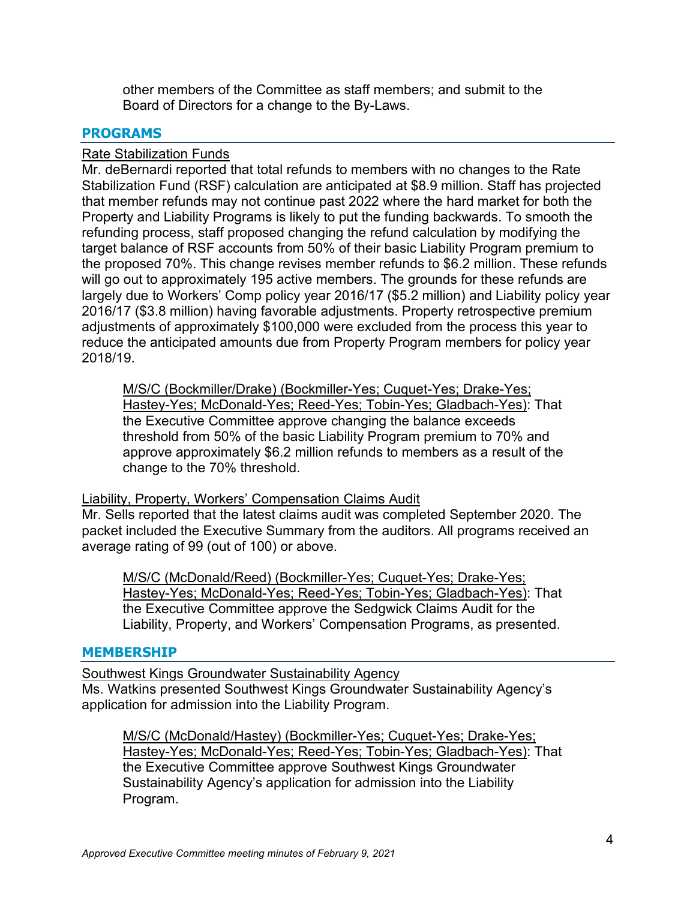other members of the Committee as staff members; and submit to the Board of Directors for a change to the By-Laws.

# **PROGRAMS**

### Rate Stabilization Funds

Mr. deBernardi reported that total refunds to members with no changes to the Rate Stabilization Fund (RSF) calculation are anticipated at \$8.9 million. Staff has projected that member refunds may not continue past 2022 where the hard market for both the Property and Liability Programs is likely to put the funding backwards. To smooth the refunding process, staff proposed changing the refund calculation by modifying the target balance of RSF accounts from 50% of their basic Liability Program premium to the proposed 70%. This change revises member refunds to \$6.2 million. These refunds will go out to approximately 195 active members. The grounds for these refunds are largely due to Workers' Comp policy year 2016/17 (\$5.2 million) and Liability policy year 2016/17 (\$3.8 million) having favorable adjustments. Property retrospective premium adjustments of approximately \$100,000 were excluded from the process this year to reduce the anticipated amounts due from Property Program members for policy year 2018/19.

M/S/C (Bockmiller/Drake) (Bockmiller-Yes; Cuquet-Yes; Drake-Yes; Hastey-Yes; McDonald-Yes; Reed-Yes; Tobin-Yes; Gladbach-Yes): That the Executive Committee approve changing the balance exceeds threshold from 50% of the basic Liability Program premium to 70% and approve approximately \$6.2 million refunds to members as a result of the change to the 70% threshold.

### Liability, Property, Workers' Compensation Claims Audit

Mr. Sells reported that the latest claims audit was completed September 2020. The packet included the Executive Summary from the auditors. All programs received an average rating of 99 (out of 100) or above.

M/S/C (McDonald/Reed) (Bockmiller-Yes; Cuquet-Yes; Drake-Yes; Hastey-Yes; McDonald-Yes; Reed-Yes; Tobin-Yes; Gladbach-Yes): That the Executive Committee approve the Sedgwick Claims Audit for the Liability, Property, and Workers' Compensation Programs, as presented.

### **MEMBERSHIP**

Southwest Kings Groundwater Sustainability Agency Ms. Watkins presented Southwest Kings Groundwater Sustainability Agency's application for admission into the Liability Program.

M/S/C (McDonald/Hastey) (Bockmiller-Yes; Cuquet-Yes; Drake-Yes; Hastey-Yes; McDonald-Yes; Reed-Yes; Tobin-Yes; Gladbach-Yes): That the Executive Committee approve Southwest Kings Groundwater Sustainability Agency's application for admission into the Liability Program.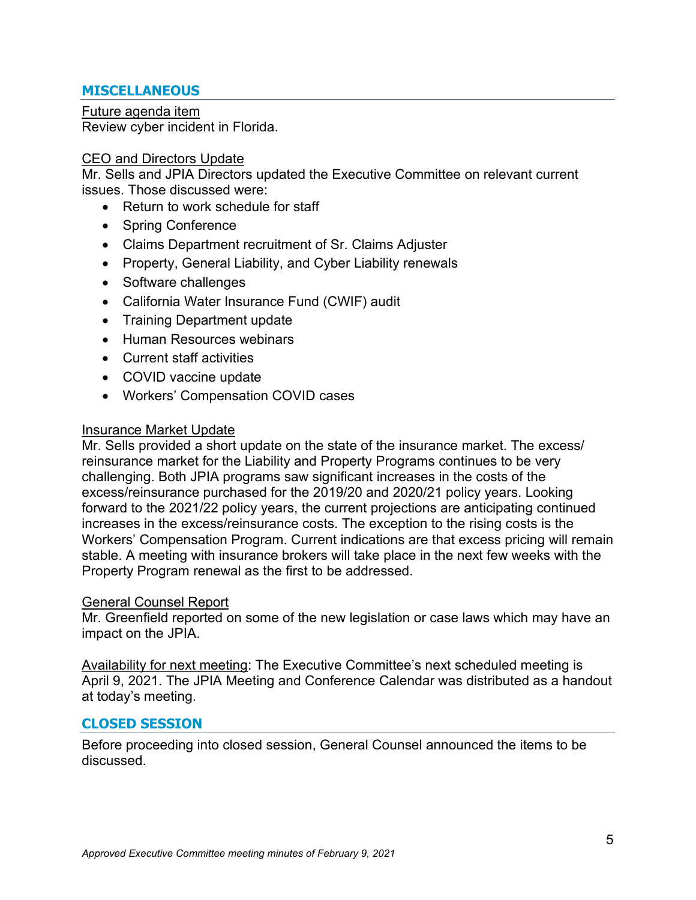# **MISCELLANEOUS**

Future agenda item Review cyber incident in Florida.

### CEO and Directors Update

Mr. Sells and JPIA Directors updated the Executive Committee on relevant current issues. Those discussed were:

- Return to work schedule for staff
- Spring Conference
- Claims Department recruitment of Sr. Claims Adjuster
- Property, General Liability, and Cyber Liability renewals
- Software challenges
- California Water Insurance Fund (CWIF) audit
- Training Department update
- Human Resources webinars
- Current staff activities
- COVID vaccine update
- Workers' Compensation COVID cases

#### Insurance Market Update

Mr. Sells provided a short update on the state of the insurance market. The excess/ reinsurance market for the Liability and Property Programs continues to be very challenging. Both JPIA programs saw significant increases in the costs of the excess/reinsurance purchased for the 2019/20 and 2020/21 policy years. Looking forward to the 2021/22 policy years, the current projections are anticipating continued increases in the excess/reinsurance costs. The exception to the rising costs is the Workers' Compensation Program. Current indications are that excess pricing will remain stable. A meeting with insurance brokers will take place in the next few weeks with the Property Program renewal as the first to be addressed.

#### General Counsel Report

Mr. Greenfield reported on some of the new legislation or case laws which may have an impact on the JPIA.

Availability for next meeting: The Executive Committee's next scheduled meeting is April 9, 2021. The JPIA Meeting and Conference Calendar was distributed as a handout at today's meeting.

# **CLOSED SESSION**

Before proceeding into closed session, General Counsel announced the items to be discussed.